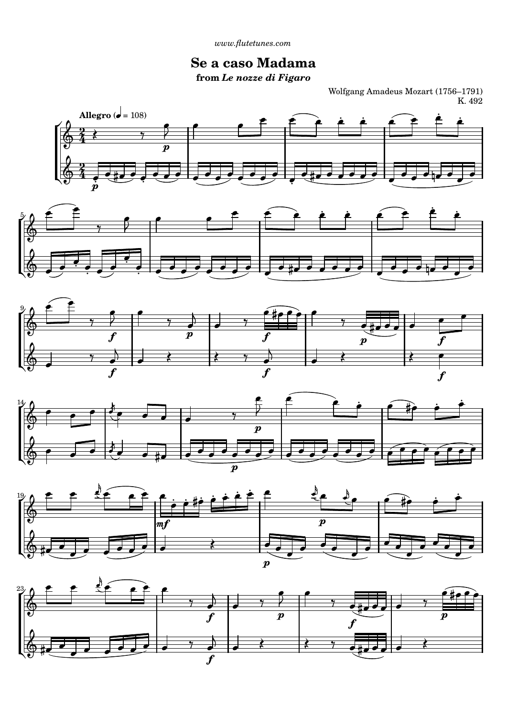**Se a caso Madama from** *Le nozze di Figaro*

> Wolfgang Amadeus Mozart (1756–1791) K. 492









![](_page_0_Figure_7.jpeg)

![](_page_0_Figure_8.jpeg)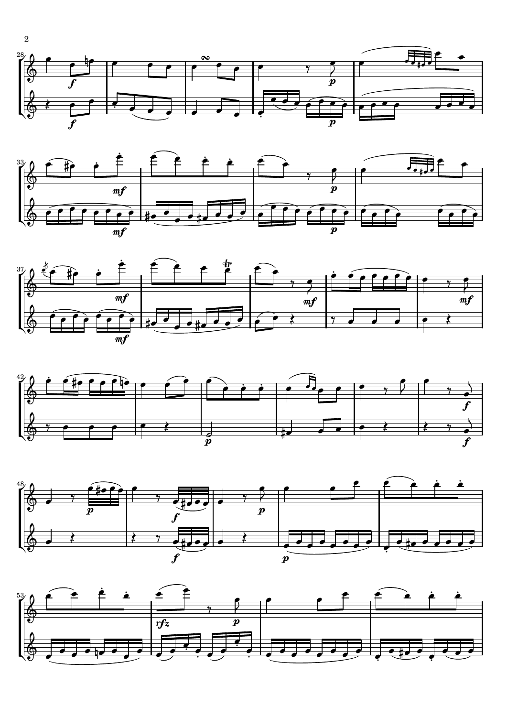![](_page_1_Figure_0.jpeg)

![](_page_1_Figure_1.jpeg)

![](_page_1_Figure_2.jpeg)

![](_page_1_Figure_3.jpeg)

![](_page_1_Figure_4.jpeg)

![](_page_1_Figure_5.jpeg)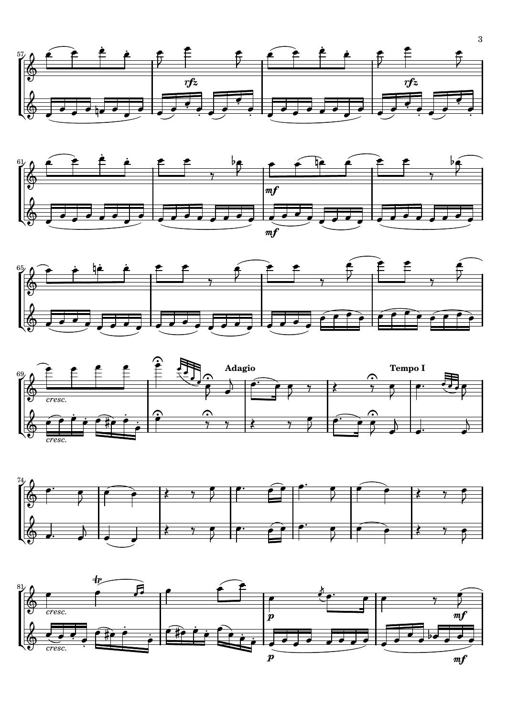![](_page_2_Figure_0.jpeg)

![](_page_2_Figure_1.jpeg)

![](_page_2_Figure_2.jpeg)

![](_page_2_Figure_3.jpeg)

![](_page_2_Figure_4.jpeg)

![](_page_2_Figure_5.jpeg)